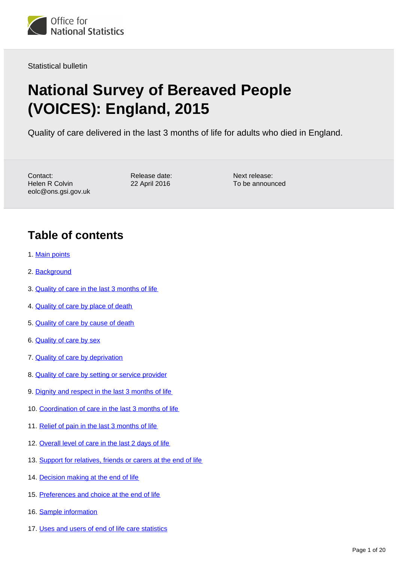

Statistical bulletin

# **National Survey of Bereaved People (VOICES): England, 2015**

Quality of care delivered in the last 3 months of life for adults who died in England.

Contact: Helen R Colvin eolc@ons.gsi.gov.uk

Release date: 22 April 2016

Next release: To be announced

#### **Table of contents**

- 1. [Main points](#page-2-0)
- 2. [Background](#page-2-1)
- 3. [Quality of care in the last 3 months of life](#page-3-0)
- 4. [Quality of care by place of death](#page-3-1)
- 5. [Quality of care by cause of death](#page-4-0)
- 6. [Quality of care by sex](#page-5-0)
- 7. [Quality of care by deprivation](#page-5-1)
- 8. [Quality of care by setting or service provider](#page-6-0)
- 9. [Dignity and respect in the last 3 months of life](#page-6-1)
- 10. [Coordination of care in the last 3 months of life](#page-8-0)
- 11. [Relief of pain in the last 3 months of life](#page-8-1)
- 12. [Overall level of care in the last 2 days of life](#page-9-0)
- 13. [Support for relatives, friends or carers at the end of life](#page-11-0)
- 14. [Decision making at the end of life](#page-12-0)
- 15. [Preferences and choice at the end of life](#page-13-0)
- 16. [Sample information](#page-13-1)
- 17. [Uses and users of end of life care statistics](#page-15-0)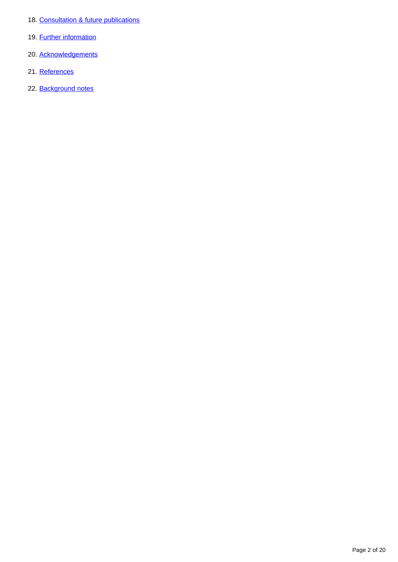- 18. [Consultation & future publications](#page-16-0)
- 19. **[Further information](#page-16-1)**
- 20. [Acknowledgements](#page-17-0)
- 21. [References](#page-17-1)
- 22. [Background notes](#page-17-2)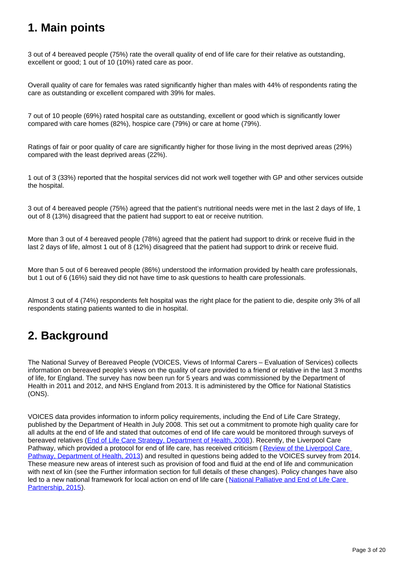### <span id="page-2-0"></span>**1. Main points**

3 out of 4 bereaved people (75%) rate the overall quality of end of life care for their relative as outstanding, excellent or good; 1 out of 10 (10%) rated care as poor.

Overall quality of care for females was rated significantly higher than males with 44% of respondents rating the care as outstanding or excellent compared with 39% for males.

7 out of 10 people (69%) rated hospital care as outstanding, excellent or good which is significantly lower compared with care homes (82%), hospice care (79%) or care at home (79%).

Ratings of fair or poor quality of care are significantly higher for those living in the most deprived areas (29%) compared with the least deprived areas (22%).

1 out of 3 (33%) reported that the hospital services did not work well together with GP and other services outside the hospital.

3 out of 4 bereaved people (75%) agreed that the patient's nutritional needs were met in the last 2 days of life, 1 out of 8 (13%) disagreed that the patient had support to eat or receive nutrition.

More than 3 out of 4 bereaved people (78%) agreed that the patient had support to drink or receive fluid in the last 2 days of life, almost 1 out of 8 (12%) disagreed that the patient had support to drink or receive fluid.

More than 5 out of 6 bereaved people (86%) understood the information provided by health care professionals, but 1 out of 6 (16%) said they did not have time to ask questions to health care professionals.

Almost 3 out of 4 (74%) respondents felt hospital was the right place for the patient to die, despite only 3% of all respondents stating patients wanted to die in hospital.

#### <span id="page-2-1"></span>**2. Background**

The National Survey of Bereaved People (VOICES, Views of Informal Carers – Evaluation of Services) collects information on bereaved people's views on the quality of care provided to a friend or relative in the last 3 months of life, for England. The survey has now been run for 5 years and was commissioned by the Department of Health in 2011 and 2012, and NHS England from 2013. It is administered by the Office for National Statistics (ONS).

VOICES data provides information to inform policy requirements, including the End of Life Care Strategy, published by the Department of Health in July 2008. This set out a commitment to promote high quality care for all adults at the end of life and stated that outcomes of end of life care would be monitored through surveys of bereaved relatives ([End of Life Care Strategy, Department of Health, 2008](https://www.gov.uk/government/publications/end-of-life-care-strategy-promoting-high-quality-care-for-adults-at-the-end-of-their-life)). Recently, the Liverpool Care Pathway, which provided a protocol for end of life care, has received criticism (Review of the Liverpool Care [Pathway, Department of Health, 2013](https://www.gov.uk/government/uploads/system/uploads/attachment_data/file/212450/Liverpool_Care_Pathway.pdf)) and resulted in questions being added to the VOICES survey from 2014. These measure new areas of interest such as provision of food and fluid at the end of life and communication with next of kin (see the Further information section for full details of these changes). Policy changes have also led to a new national framework for local action on end of life care ( [National Palliative and End of Life Care](http://endoflifecareambitions.org.uk/)  [Partnership, 2015\)](http://endoflifecareambitions.org.uk/).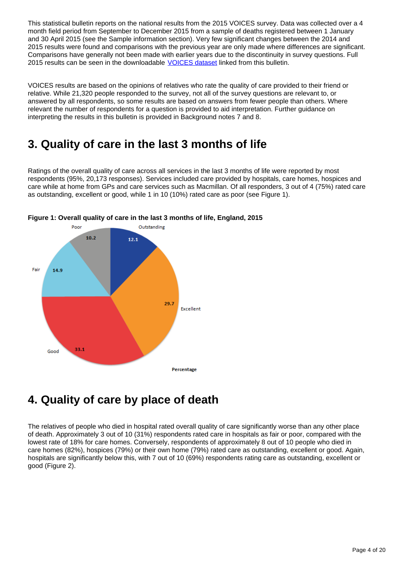This statistical bulletin reports on the national results from the 2015 VOICES survey. Data was collected over a 4 month field period from September to December 2015 from a sample of deaths registered between 1 January and 30 April 2015 (see the Sample information section). Very few significant changes between the 2014 and 2015 results were found and comparisons with the previous year are only made where differences are significant. Comparisons have generally not been made with earlier years due to the discontinuity in survey questions. Full 2015 results can be seen in the downloadable [VOICES dataset](https://www.ons.gov.uk/peoplepopulationandcommunity/healthandsocialcare/healthcaresystem/datasets/nationalsurveyofbereavedpeoplevoices) linked from this bulletin.

VOICES results are based on the opinions of relatives who rate the quality of care provided to their friend or relative. While 21,320 people responded to the survey, not all of the survey questions are relevant to, or answered by all respondents, so some results are based on answers from fewer people than others. Where relevant the number of respondents for a question is provided to aid interpretation. Further guidance on interpreting the results in this bulletin is provided in Background notes 7 and 8.

#### <span id="page-3-0"></span>**3. Quality of care in the last 3 months of life**

Ratings of the overall quality of care across all services in the last 3 months of life were reported by most respondents (95%, 20,173 responses). Services included care provided by hospitals, care homes, hospices and care while at home from GPs and care services such as Macmillan. Of all responders, 3 out of 4 (75%) rated care as outstanding, excellent or good, while 1 in 10 (10%) rated care as poor (see Figure 1).



**Figure 1: Overall quality of care in the last 3 months of life, England, 2015**

## <span id="page-3-1"></span>**4. Quality of care by place of death**

The relatives of people who died in hospital rated overall quality of care significantly worse than any other place of death. Approximately 3 out of 10 (31%) respondents rated care in hospitals as fair or poor, compared with the lowest rate of 18% for care homes. Conversely, respondents of approximately 8 out of 10 people who died in care homes (82%), hospices (79%) or their own home (79%) rated care as outstanding, excellent or good. Again, hospitals are significantly below this, with 7 out of 10 (69%) respondents rating care as outstanding, excellent or good (Figure 2).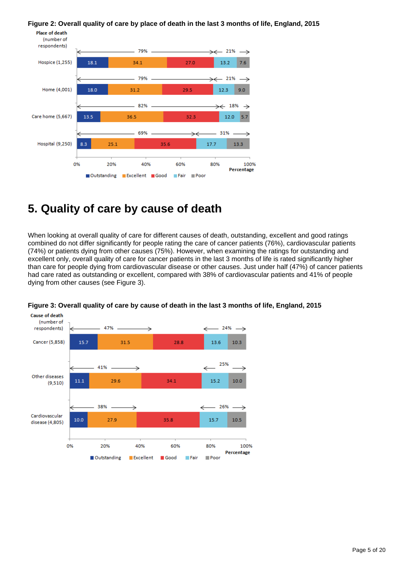#### **Figure 2: Overall quality of care by place of death in the last 3 months of life, England, 2015**



#### <span id="page-4-0"></span>**5. Quality of care by cause of death**

When looking at overall quality of care for different causes of death, outstanding, excellent and good ratings combined do not differ significantly for people rating the care of cancer patients (76%), cardiovascular patients (74%) or patients dying from other causes (75%). However, when examining the ratings for outstanding and excellent only, overall quality of care for cancer patients in the last 3 months of life is rated significantly higher than care for people dying from cardiovascular disease or other causes. Just under half (47%) of cancer patients had care rated as outstanding or excellent, compared with 38% of cardiovascular patients and 41% of people dying from other causes (see Figure 3).



**Figure 3: Overall quality of care by cause of death in the last 3 months of life, England, 2015**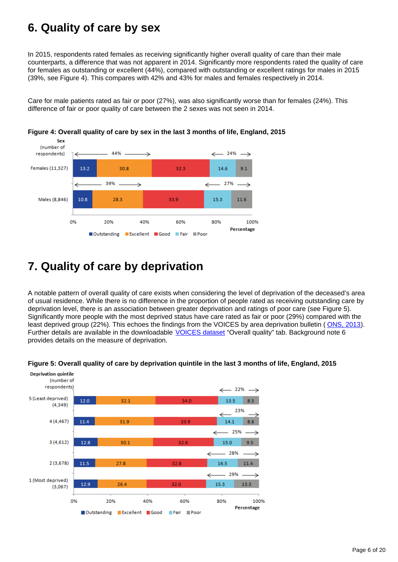### <span id="page-5-0"></span>**6. Quality of care by sex**

In 2015, respondents rated females as receiving significantly higher overall quality of care than their male counterparts, a difference that was not apparent in 2014. Significantly more respondents rated the quality of care for females as outstanding or excellent (44%), compared with outstanding or excellent ratings for males in 2015 (39%, see Figure 4). This compares with 42% and 43% for males and females respectively in 2014.

Care for male patients rated as fair or poor (27%), was also significantly worse than for females (24%). This difference of fair or poor quality of care between the 2 sexes was not seen in 2014.





### <span id="page-5-1"></span>**7. Quality of care by deprivation**

A notable pattern of overall quality of care exists when considering the level of deprivation of the deceased's area of usual residence. While there is no difference in the proportion of people rated as receiving outstanding care by deprivation level, there is an association between greater deprivation and ratings of poor care (see Figure 5). Significantly more people with the most deprived status have care rated as fair or poor (29%) compared with the least deprived group (22%). This echoes the findings from the VOICES by area deprivation bulletin ([ONS, 2013\)](http://www.ons.gov.uk/ons/rel/subnational-health1/national-bereavement-survey--voices--by-area-deprivation/2011/index.html). Further details are available in the downloadable [VOICES dataset](https://www.ons.gov.uk/peoplepopulationandcommunity/healthandsocialcare/healthcaresystem/datasets/nationalsurveyofbereavedpeoplevoices) "Overall quality" tab. Background note 6 provides details on the measure of deprivation.



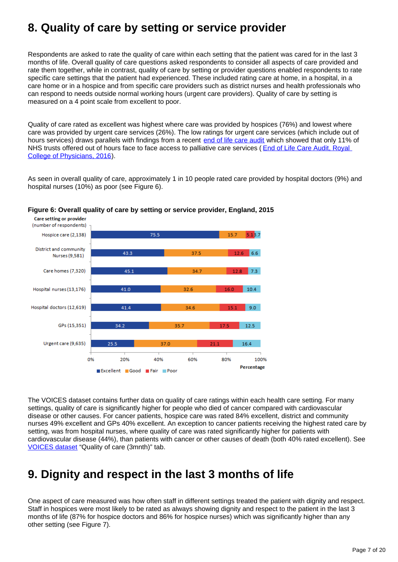### <span id="page-6-0"></span>**8. Quality of care by setting or service provider**

Respondents are asked to rate the quality of care within each setting that the patient was cared for in the last 3 months of life. Overall quality of care questions asked respondents to consider all aspects of care provided and rate them together, while in contrast, quality of care by setting or provider questions enabled respondents to rate specific care settings that the patient had experienced. These included rating care at home, in a hospital, in a care home or in a hospice and from specific care providers such as district nurses and health professionals who can respond to needs outside normal working hours (urgent care providers). Quality of care by setting is measured on a 4 point scale from excellent to poor.

Quality of care rated as excellent was highest where care was provided by hospices (76%) and lowest where care was provided by urgent care services (26%). The low ratings for urgent care services (which include out of hours services) draws parallels with findings from a recent [end of life care audit](https://www.rcplondon.ac.uk/projects/outputs/end-life-care-audit-dying-hospital-national-report-england-2016) which showed that only 11% of NHS trusts offered out of hours face to face access to palliative care services (End of Life Care Audit, Royal [College of Physicians, 2016\)](https://www.rcplondon.ac.uk/projects/outputs/end-life-care-audit-dying-hospital-national-report-england-2016).

As seen in overall quality of care, approximately 1 in 10 people rated care provided by hospital doctors (9%) and hospital nurses (10%) as poor (see Figure 6).



#### **Figure 6: Overall quality of care by setting or service provider, England, 2015**

The VOICES dataset contains further data on quality of care ratings within each health care setting. For many settings, quality of care is significantly higher for people who died of cancer compared with cardiovascular disease or other causes. For cancer patients, hospice care was rated 84% excellent, district and community nurses 49% excellent and GPs 40% excellent. An exception to cancer patients receiving the highest rated care by setting, was from hospital nurses, where quality of care was rated significantly higher for patients with cardiovascular disease (44%), than patients with cancer or other causes of death (both 40% rated excellent). See [VOICES dataset](https://www.ons.gov.uk/peoplepopulationandcommunity/healthandsocialcare/healthcaresystem/datasets/nationalsurveyofbereavedpeoplevoices) "Quality of care (3mnth)" tab.

#### <span id="page-6-1"></span>**9. Dignity and respect in the last 3 months of life**

One aspect of care measured was how often staff in different settings treated the patient with dignity and respect. Staff in hospices were most likely to be rated as always showing dignity and respect to the patient in the last 3 months of life (87% for hospice doctors and 86% for hospice nurses) which was significantly higher than any other setting (see Figure 7).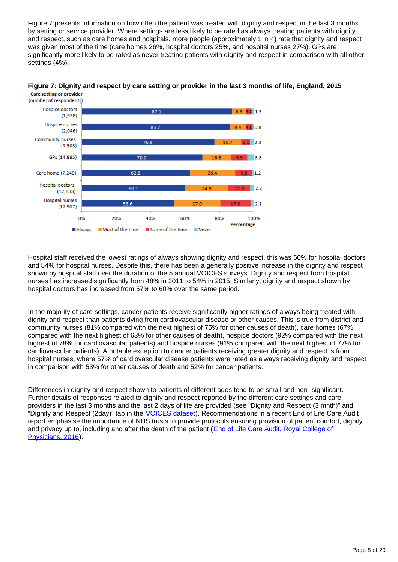Figure 7 presents information on how often the patient was treated with dignity and respect in the last 3 months by setting or service provider. Where settings are less likely to be rated as always treating patients with dignity and respect, such as care homes and hospitals, more people (approximately 1 in 4) rate that dignity and respect was given most of the time (care homes 26%, hospital doctors 25%, and hospital nurses 27%). GPs are significantly more likely to be rated as never treating patients with dignity and respect in comparison with all other settings (4%).



**Figure 7: Dignity and respect by care setting or provider in the last 3 months of life, England, 2015 Care setting or provider** 

Hospital staff received the lowest ratings of always showing dignity and respect, this was 60% for hospital doctors and 54% for hospital nurses. Despite this, there has been a generally positive increase in the dignity and respect shown by hospital staff over the duration of the 5 annual VOICES surveys. Dignity and respect from hospital nurses has increased significantly from 48% in 2011 to 54% in 2015. Similarly, dignity and respect shown by hospital doctors has increased from 57% to 60% over the same period.

In the majority of care settings, cancer patients receive significantly higher ratings of always being treated with dignity and respect than patients dying from cardiovascular disease or other causes. This is true from district and community nurses (81% compared with the next highest of 75% for other causes of death), care homes (67% compared with the next highest of 63% for other causes of death), hospice doctors (92% compared with the next highest of 78% for cardiovascular patients) and hospice nurses (91% compared with the next highest of 77% for cardiovascular patients). A notable exception to cancer patients receiving greater dignity and respect is from hospital nurses, where 57% of cardiovascular disease patients were rated as always receiving dignity and respect in comparison with 53% for other causes of death and 52% for cancer patients.

Differences in dignity and respect shown to patients of different ages tend to be small and non- significant. Further details of responses related to dignity and respect reported by the different care settings and care providers in the last 3 months and the last 2 days of life are provided (see "Dignity and Respect (3 mnth)" and "Dignity and Respect (2day)" tab in the **[VOICES dataset](https://www.ons.gov.uk/peoplepopulationandcommunity/healthandsocialcare/healthcaresystem/datasets/nationalsurveyofbereavedpeoplevoices))**. Recommendations in a recent End of Life Care Audit report emphasise the importance of NHS trusts to provide protocols ensuring provision of patient comfort, dignity and privacy up to, including and after the death of the patient ([End of Life Care Audit, Royal College of](https://www.rcplondon.ac.uk/projects/outputs/end-life-care-audit-dying-hospital-national-report-england-2016)  [Physicians, 2016](https://www.rcplondon.ac.uk/projects/outputs/end-life-care-audit-dying-hospital-national-report-england-2016)).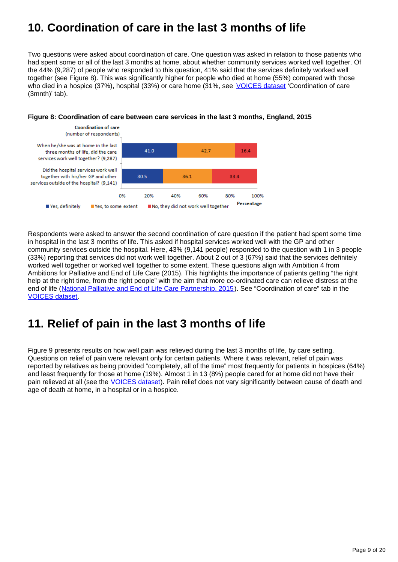## <span id="page-8-0"></span>**10. Coordination of care in the last 3 months of life**

Two questions were asked about coordination of care. One question was asked in relation to those patients who had spent some or all of the last 3 months at home, about whether community services worked well together. Of the 44% (9,287) of people who responded to this question, 41% said that the services definitely worked well together (see Figure 8). This was significantly higher for people who died at home (55%) compared with those who died in a hospice (37%), hospital (33%) or care home (31%, see [VOICES dataset](https://www.ons.gov.uk/peoplepopulationandcommunity/healthandsocialcare/healthcaresystem/datasets/nationalsurveyofbereavedpeoplevoices) 'Coordination of care (3mnth)' tab).



#### **Figure 8: Coordination of care between care services in the last 3 months, England, 2015**

Respondents were asked to answer the second coordination of care question if the patient had spent some time in hospital in the last 3 months of life. This asked if hospital services worked well with the GP and other community services outside the hospital. Here, 43% (9,141 people) responded to the question with 1 in 3 people (33%) reporting that services did not work well together. About 2 out of 3 (67%) said that the services definitely worked well together or worked well together to some extent. These questions align with Ambition 4 from Ambitions for Palliative and End of Life Care (2015). This highlights the importance of patients getting "the right help at the right time, from the right people" with the aim that more co-ordinated care can relieve distress at the end of life ([National Palliative and End of Life Care Partnership, 2015\)](http://endoflifecareambitions.org.uk/). See "Coordination of care" tab in the [VOICES dataset.](https://www.ons.gov.uk/peoplepopulationandcommunity/healthandsocialcare/healthcaresystem/datasets/nationalsurveyofbereavedpeoplevoices)

#### <span id="page-8-1"></span>**11. Relief of pain in the last 3 months of life**

Figure 9 presents results on how well pain was relieved during the last 3 months of life, by care setting. Questions on relief of pain were relevant only for certain patients. Where it was relevant, relief of pain was reported by relatives as being provided "completely, all of the time" most frequently for patients in hospices (64%) and least frequently for those at home (19%). Almost 1 in 13 (8%) people cared for at home did not have their pain relieved at all (see the [VOICES dataset](https://www.ons.gov.uk/peoplepopulationandcommunity/healthandsocialcare/healthcaresystem/datasets/nationalsurveyofbereavedpeoplevoices)). Pain relief does not vary significantly between cause of death and age of death at home, in a hospital or in a hospice.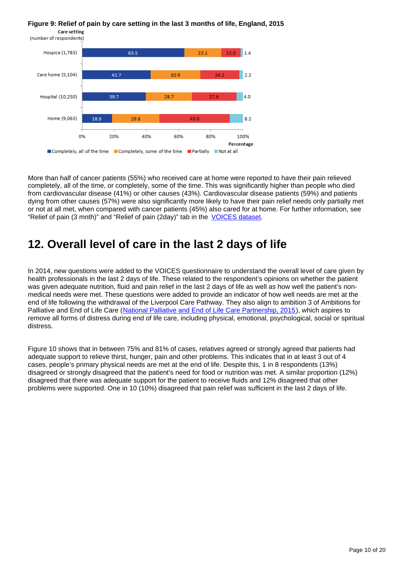#### **Figure 9: Relief of pain by care setting in the last 3 months of life, England, 2015**



More than half of cancer patients (55%) who received care at home were reported to have their pain relieved completely, all of the time, or completely, some of the time. This was significantly higher than people who died from cardiovascular disease (41%) or other causes (43%). Cardiovascular disease patients (59%) and patients dying from other causes (57%) were also significantly more likely to have their pain relief needs only partially met or not at all met, when compared with cancer patients (45%) also cared for at home. For further information, see "Relief of pain (3 mnth)" and "Relief of pain (2day)" tab in the [VOICES dataset](https://www.ons.gov.uk/peoplepopulationandcommunity/healthandsocialcare/healthcaresystem/datasets/nationalsurveyofbereavedpeoplevoices).

#### <span id="page-9-0"></span>**12. Overall level of care in the last 2 days of life**

In 2014, new questions were added to the VOICES questionnaire to understand the overall level of care given by health professionals in the last 2 days of life. These related to the respondent's opinions on whether the patient was given adequate nutrition, fluid and pain relief in the last 2 days of life as well as how well the patient's nonmedical needs were met. These questions were added to provide an indicator of how well needs are met at the end of life following the withdrawal of the Liverpool Care Pathway. They also align to ambition 3 of Ambitions for Palliative and End of Life Care ([National Palliative and End of Life Care Partnership, 2015\)](http://endoflifecareambitions.org.uk/), which aspires to remove all forms of distress during end of life care, including physical, emotional, psychological, social or spiritual distress.

Figure 10 shows that in between 75% and 81% of cases, relatives agreed or strongly agreed that patients had adequate support to relieve thirst, hunger, pain and other problems. This indicates that in at least 3 out of 4 cases, people's primary physical needs are met at the end of life. Despite this, 1 in 8 respondents (13%) disagreed or strongly disagreed that the patient's need for food or nutrition was met. A similar proportion (12%) disagreed that there was adequate support for the patient to receive fluids and 12% disagreed that other problems were supported. One in 10 (10%) disagreed that pain relief was sufficient in the last 2 days of life.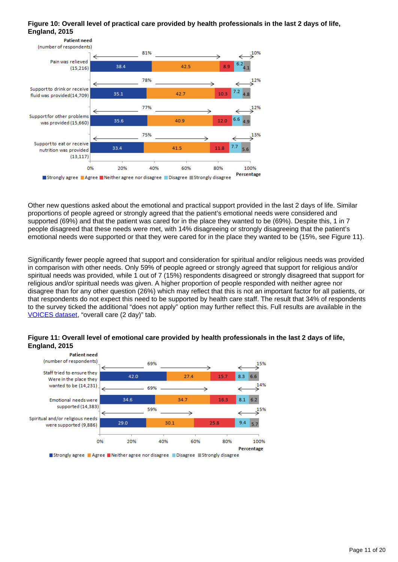#### **Figure 10: Overall level of practical care provided by health professionals in the last 2 days of life, England, 2015**



Other new questions asked about the emotional and practical support provided in the last 2 days of life. Similar proportions of people agreed or strongly agreed that the patient's emotional needs were considered and supported (69%) and that the patient was cared for in the place they wanted to be (69%). Despite this, 1 in 7 people disagreed that these needs were met, with 14% disagreeing or strongly disagreeing that the patient's emotional needs were supported or that they were cared for in the place they wanted to be (15%, see Figure 11).

Significantly fewer people agreed that support and consideration for spiritual and/or religious needs was provided in comparison with other needs. Only 59% of people agreed or strongly agreed that support for religious and/or spiritual needs was provided, while 1 out of 7 (15%) respondents disagreed or strongly disagreed that support for religious and/or spiritual needs was given. A higher proportion of people responded with neither agree nor disagree than for any other question (26%) which may reflect that this is not an important factor for all patients, or that respondents do not expect this need to be supported by health care staff. The result that 34% of respondents to the survey ticked the additional "does not apply" option may further reflect this. Full results are available in the [VOICES dataset,](https://www.ons.gov.uk/peoplepopulationandcommunity/healthandsocialcare/healthcaresystem/datasets/nationalsurveyofbereavedpeoplevoices) "overall care (2 day)" tab.





Strongly agree Agree Neither agree nor disagree Disagree Strongly disagree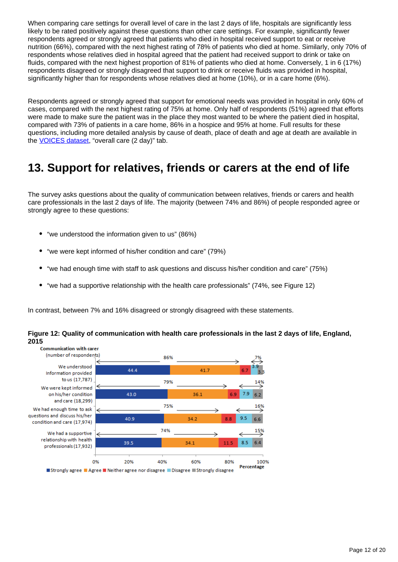When comparing care settings for overall level of care in the last 2 days of life, hospitals are significantly less likely to be rated positively against these questions than other care settings. For example, significantly fewer respondents agreed or strongly agreed that patients who died in hospital received support to eat or receive nutrition (66%), compared with the next highest rating of 78% of patients who died at home. Similarly, only 70% of respondents whose relatives died in hospital agreed that the patient had received support to drink or take on fluids, compared with the next highest proportion of 81% of patients who died at home. Conversely, 1 in 6 (17%) respondents disagreed or strongly disagreed that support to drink or receive fluids was provided in hospital, significantly higher than for respondents whose relatives died at home (10%), or in a care home (6%).

Respondents agreed or strongly agreed that support for emotional needs was provided in hospital in only 60% of cases, compared with the next highest rating of 75% at home. Only half of respondents (51%) agreed that efforts were made to make sure the patient was in the place they most wanted to be where the patient died in hospital, compared with 73% of patients in a care home, 86% in a hospice and 95% at home. Full results for these questions, including more detailed analysis by cause of death, place of death and age at death are available in the **VOICES** dataset, "overall care (2 day)" tab.

#### <span id="page-11-0"></span>**13. Support for relatives, friends or carers at the end of life**

The survey asks questions about the quality of communication between relatives, friends or carers and health care professionals in the last 2 days of life. The majority (between 74% and 86%) of people responded agree or strongly agree to these questions:

- "we understood the information given to us" (86%)
- "we were kept informed of his/her condition and care" (79%)
- "we had enough time with staff to ask questions and discuss his/her condition and care" (75%)
- "we had a supportive relationship with the health care professionals" (74%, see Figure 12)

In contrast, between 7% and 16% disagreed or strongly disagreed with these statements.



#### **Figure 12: Quality of communication with health care professionals in the last 2 days of life, England, 2015**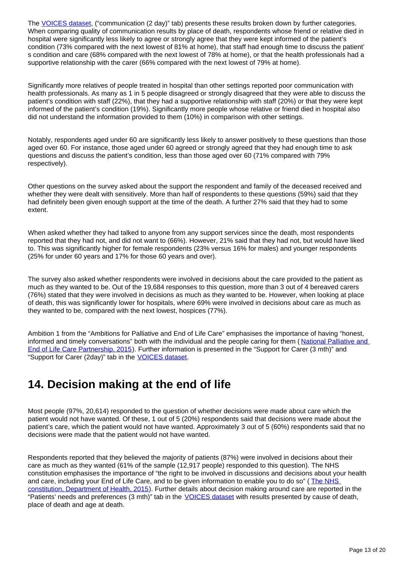The [VOICES dataset](https://www.ons.gov.uk/peoplepopulationandcommunity/healthandsocialcare/healthcaresystem/datasets/nationalsurveyofbereavedpeoplevoices), ("communication (2 day)" tab) presents these results broken down by further categories. When comparing quality of communication results by place of death, respondents whose friend or relative died in hospital were significantly less likely to agree or strongly agree that they were kept informed of the patient's condition (73% compared with the next lowest of 81% at home), that staff had enough time to discuss the patient' s condition and care (68% compared with the next lowest of 78% at home), or that the health professionals had a supportive relationship with the carer (66% compared with the next lowest of 79% at home).

Significantly more relatives of people treated in hospital than other settings reported poor communication with health professionals. As many as 1 in 5 people disagreed or strongly disagreed that they were able to discuss the patient's condition with staff (22%), that they had a supportive relationship with staff (20%) or that they were kept informed of the patient's condition (19%). Significantly more people whose relative or friend died in hospital also did not understand the information provided to them (10%) in comparison with other settings.

Notably, respondents aged under 60 are significantly less likely to answer positively to these questions than those aged over 60. For instance, those aged under 60 agreed or strongly agreed that they had enough time to ask questions and discuss the patient's condition, less than those aged over 60 (71% compared with 79% respectively).

Other questions on the survey asked about the support the respondent and family of the deceased received and whether they were dealt with sensitively. More than half of respondents to these questions (59%) said that they had definitely been given enough support at the time of the death. A further 27% said that they had to some extent.

When asked whether they had talked to anyone from any support services since the death, most respondents reported that they had not, and did not want to (66%). However, 21% said that they had not, but would have liked to. This was significantly higher for female respondents (23% versus 16% for males) and younger respondents (25% for under 60 years and 17% for those 60 years and over).

The survey also asked whether respondents were involved in decisions about the care provided to the patient as much as they wanted to be. Out of the 19,684 responses to this question, more than 3 out of 4 bereaved carers (76%) stated that they were involved in decisions as much as they wanted to be. However, when looking at place of death, this was significantly lower for hospitals, where 69% were involved in decisions about care as much as they wanted to be, compared with the next lowest, hospices (77%).

Ambition 1 from the "Ambitions for Palliative and End of Life Care" emphasises the importance of having "honest, informed and timely conversations" both with the individual and the people caring for them (National Palliative and [End of Life Care Partnership, 2015\)](http://endoflifecareambitions.org.uk/). Further information is presented in the "Support for Carer (3 mth)" and "Support for Carer (2day)" tab in the [VOICES dataset.](https://www.ons.gov.uk/peoplepopulationandcommunity/healthandsocialcare/healthcaresystem/datasets/nationalsurveyofbereavedpeoplevoices)

## <span id="page-12-0"></span>**14. Decision making at the end of life**

Most people (97%, 20,614) responded to the question of whether decisions were made about care which the patient would not have wanted. Of these, 1 out of 5 (20%) respondents said that decisions were made about the patient's care, which the patient would not have wanted. Approximately 3 out of 5 (60%) respondents said that no decisions were made that the patient would not have wanted.

Respondents reported that they believed the majority of patients (87%) were involved in decisions about their care as much as they wanted (61% of the sample (12,917 people) responded to this question). The NHS constitution emphasises the importance of "the right to be involved in discussions and decisions about your health and care, including your End of Life Care, and to be given information to enable you to do so" ( [The NHS](https://www.gov.uk/government/uploads/system/uploads/attachment_data/file/480482/NHS_Constitution_WEB.pdf)  [constitution, Department of Health, 2015\)](https://www.gov.uk/government/uploads/system/uploads/attachment_data/file/480482/NHS_Constitution_WEB.pdf). Further details about decision making around care are reported in the "Patients' needs and preferences (3 mth)" tab in the **[VOICES dataset](https://www.ons.gov.uk/peoplepopulationandcommunity/healthandsocialcare/healthcaresystem/datasets/nationalsurveyofbereavedpeoplevoices)** with results presented by cause of death, place of death and age at death.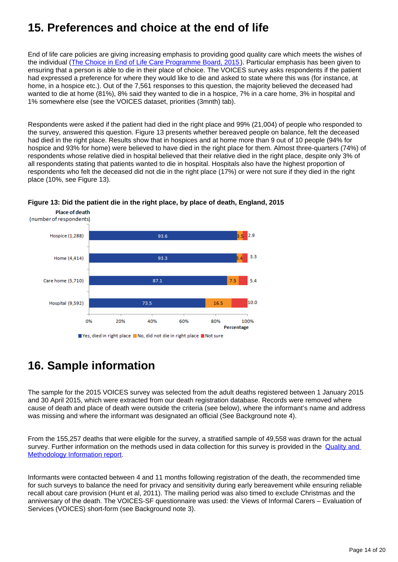## <span id="page-13-0"></span>**15. Preferences and choice at the end of life**

End of life care policies are giving increasing emphasis to providing good quality care which meets the wishes of the individual ([The Choice in End of Life Care Programme Board, 2015](https://www.gov.uk/government/uploads/system/uploads/attachment_data/file/407244/CHOICE_REVIEW_FINAL_for_web.pdf)). Particular emphasis has been given to ensuring that a person is able to die in their place of choice. The VOICES survey asks respondents if the patient had expressed a preference for where they would like to die and asked to state where this was (for instance, at home, in a hospice etc.). Out of the 7,561 responses to this question, the majority believed the deceased had wanted to die at home (81%), 8% said they wanted to die in a hospice, 7% in a care home, 3% in hospital and 1% somewhere else (see the VOICES dataset, priorities (3mnth) tab).

Respondents were asked if the patient had died in the right place and 99% (21,004) of people who responded to the survey, answered this question. Figure 13 presents whether bereaved people on balance, felt the deceased had died in the right place. Results show that in hospices and at home more than 9 out of 10 people (94% for hospice and 93% for home) were believed to have died in the right place for them. Almost three-quarters (74%) of respondents whose relative died in hospital believed that their relative died in the right place, despite only 3% of all respondents stating that patients wanted to die in hospital. Hospitals also have the highest proportion of respondents who felt the deceased did not die in the right place (17%) or were not sure if they died in the right place (10%, see Figure 13).





## <span id="page-13-1"></span>**16. Sample information**

The sample for the 2015 VOICES survey was selected from the adult deaths registered between 1 January 2015 and 30 April 2015, which were extracted from our death registration database. Records were removed where cause of death and place of death were outside the criteria (see below), where the informant's name and address was missing and where the informant was designated an official (See Background note 4).

From the 155,257 deaths that were eligible for the survey, a stratified sample of 49,558 was drawn for the actual survey. Further information on the methods used in data collection for this survey is provided in the **Quality and** [Methodology Information report](http://www.ons.gov.uk/peoplepopulationandcommunity/healthandsocialcare/healthcaresystem/qmis/nationalbereavementsurveyvoicesqmi).

Informants were contacted between 4 and 11 months following registration of the death, the recommended time for such surveys to balance the need for privacy and sensitivity during early bereavement while ensuring reliable recall about care provision (Hunt et al, 2011). The mailing period was also timed to exclude Christmas and the anniversary of the death. The VOICES-SF questionnaire was used: the Views of Informal Carers – Evaluation of Services (VOICES) short-form (see Background note 3).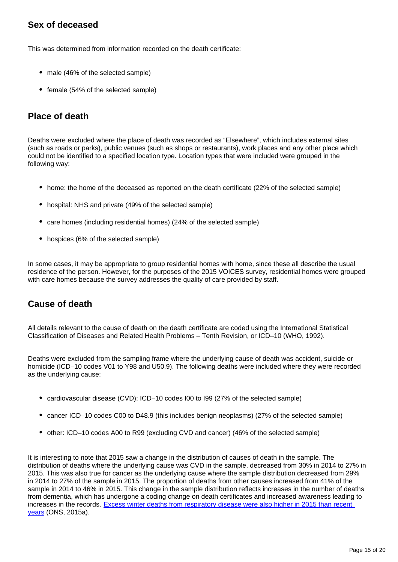#### **Sex of deceased**

This was determined from information recorded on the death certificate:

- male (46% of the selected sample)
- female (54% of the selected sample)

#### **Place of death**

Deaths were excluded where the place of death was recorded as "Elsewhere", which includes external sites (such as roads or parks), public venues (such as shops or restaurants), work places and any other place which could not be identified to a specified location type. Location types that were included were grouped in the following way:

- home: the home of the deceased as reported on the death certificate (22% of the selected sample)
- hospital: NHS and private (49% of the selected sample)
- care homes (including residential homes) (24% of the selected sample)
- hospices (6% of the selected sample)

In some cases, it may be appropriate to group residential homes with home, since these all describe the usual residence of the person. However, for the purposes of the 2015 VOICES survey, residential homes were grouped with care homes because the survey addresses the quality of care provided by staff.

#### **Cause of death**

All details relevant to the cause of death on the death certificate are coded using the International Statistical Classification of Diseases and Related Health Problems – Tenth Revision, or ICD–10 (WHO, 1992).

Deaths were excluded from the sampling frame where the underlying cause of death was accident, suicide or homicide (ICD–10 codes V01 to Y98 and U50.9). The following deaths were included where they were recorded as the underlying cause:

- cardiovascular disease (CVD): ICD–10 codes I00 to I99 (27% of the selected sample)
- cancer ICD–10 codes C00 to D48.9 (this includes benign neoplasms) (27% of the selected sample)
- other: ICD–10 codes A00 to R99 (excluding CVD and cancer) (46% of the selected sample)

It is interesting to note that 2015 saw a change in the distribution of causes of death in the sample. The distribution of deaths where the underlying cause was CVD in the sample, decreased from 30% in 2014 to 27% in 2015. This was also true for cancer as the underlying cause where the sample distribution decreased from 29% in 2014 to 27% of the sample in 2015. The proportion of deaths from other causes increased from 41% of the sample in 2014 to 46% in 2015. This change in the sample distribution reflects increases in the number of deaths from dementia, which has undergone a coding change on death certificates and increased awareness leading to increases in the records. Excess winter deaths from respiratory disease were also higher in 2015 than recent [years](http://www.ons.gov.uk/peoplepopulationandcommunity/birthsdeathsandmarriages/deaths/bulletins/excesswintermortalityinenglandandwales/201415provisionaland201314final) (ONS, 2015a).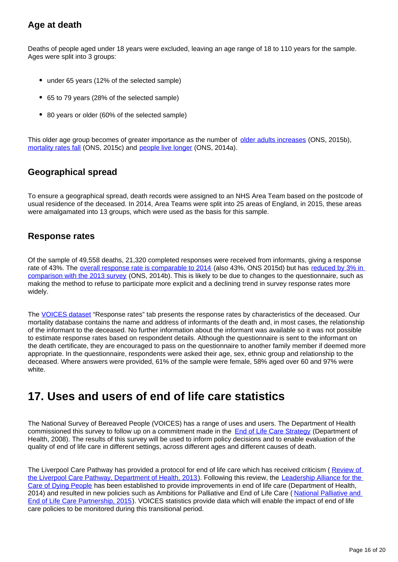#### **Age at death**

Deaths of people aged under 18 years were excluded, leaving an age range of 18 to 110 years for the sample. Ages were split into 3 groups:

- under 65 years (12% of the selected sample)
- 65 to 79 years (28% of the selected sample)
- 80 years or older (60% of the selected sample)

This older age group becomes of greater importance as the number of [older adults increases](http://www.ons.gov.uk/peoplepopulationandcommunity/birthsdeathsandmarriages/ageing/bulletins/estimatesoftheveryoldincludingcentenarians/2015-09-30) (ONS, 2015b), [mortality rates fall](http://www.ons.gov.uk/peoplepopulationandcommunity/birthsdeathsandmarriages/deaths/bulletins/deathsregisteredinenglandandwalesseriesdr/2015-11-09) (ONS, 2015c) and [people live longer](http://www.ons.gov.uk/peoplepopulationandcommunity/populationandmigration/populationprojections/compendium/nationalpopulationprojections/2014-03-28) (ONS, 2014a).

#### **Geographical spread**

To ensure a geographical spread, death records were assigned to an NHS Area Team based on the postcode of usual residence of the deceased. In 2014, Area Teams were split into 25 areas of England, in 2015, these areas were amalgamated into 13 groups, which were used as the basis for this sample.

#### **Response rates**

Of the sample of 49,558 deaths, 21,320 completed responses were received from informants, giving a response rate of 43%. The [overall response rate is comparable to 2014](http://www.ons.gov.uk/peoplepopulationandcommunity/healthandsocialcare/healthcaresystem/bulletins/nationalsurveyofbereavedpeoplevoices/2015-07-09) (also 43%, ONS 2015d) but has [reduced by 3% in](http://www.ons.gov.uk/ons/rel/subnational-health1/national-survey-of-bereaved-people--voices-/2013/stb---national-survey-of-bereaved-people--voices-.html)  [comparison with the 2013 survey](http://www.ons.gov.uk/ons/rel/subnational-health1/national-survey-of-bereaved-people--voices-/2013/stb---national-survey-of-bereaved-people--voices-.html) (ONS, 2014b). This is likely to be due to changes to the questionnaire, such as making the method to refuse to participate more explicit and a declining trend in survey response rates more widely.

The [VOICES dataset](https://www.ons.gov.uk/peoplepopulationandcommunity/healthandsocialcare/healthcaresystem/datasets/nationalsurveyofbereavedpeoplevoices) "Response rates" tab presents the response rates by characteristics of the deceased. Our mortality database contains the name and address of informants of the death and, in most cases, the relationship of the informant to the deceased. No further information about the informant was available so it was not possible to estimate response rates based on respondent details. Although the questionnaire is sent to the informant on the death certificate, they are encouraged to pass on the questionnaire to another family member if deemed more appropriate. In the questionnaire, respondents were asked their age, sex, ethnic group and relationship to the deceased. Where answers were provided, 61% of the sample were female, 58% aged over 60 and 97% were white.

#### <span id="page-15-0"></span>**17. Uses and users of end of life care statistics**

The National Survey of Bereaved People (VOICES) has a range of uses and users. The Department of Health commissioned this survey to follow up on a commitment made in the **[End of Life Care Strategy](https://www.gov.uk/government/publications/end-of-life-care-strategy-promoting-high-quality-care-for-adults-at-the-end-of-their-life)** (Department of Health, 2008). The results of this survey will be used to inform policy decisions and to enable evaluation of the quality of end of life care in different settings, across different ages and different causes of death.

The Liverpool Care Pathway has provided a protocol for end of life care which has received criticism (Review of [the Liverpool Care Pathway, Department of Health, 2013](https://www.gov.uk/government/publications/review-of-liverpool-care-pathway-for-dying-patients)). Following this review, the [Leadership Alliance for the](https://www.gov.uk/government/publications/liverpool-care-pathway-review-response-to-recommendations)  [Care of Dying People](https://www.gov.uk/government/publications/liverpool-care-pathway-review-response-to-recommendations) has been established to provide improvements in end of life care (Department of Health, 2014) and resulted in new policies such as Ambitions for Palliative and End of Life Care (National Palliative and [End of Life Care Partnership, 2015\)](http://endoflifecareambitions.org.uk/). VOICES statistics provide data which will enable the impact of end of life care policies to be monitored during this transitional period.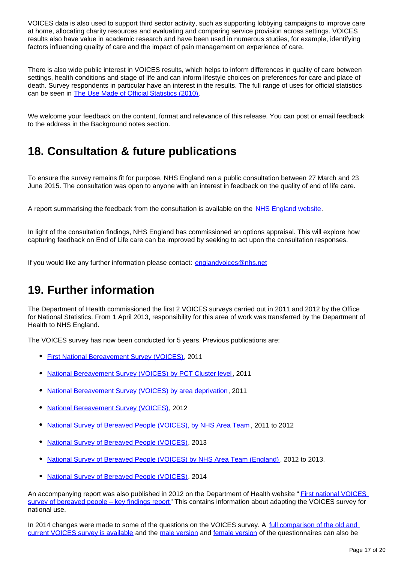VOICES data is also used to support third sector activity, such as supporting lobbying campaigns to improve care at home, allocating charity resources and evaluating and comparing service provision across settings. VOICES results also have value in academic research and have been used in numerous studies, for example, identifying factors influencing quality of care and the impact of pain management on experience of care.

There is also wide public interest in VOICES results, which helps to inform differences in quality of care between settings, health conditions and stage of life and can inform lifestyle choices on preferences for care and place of death. Survey respondents in particular have an interest in the results. The full range of uses for official statistics can be seen in [The Use Made of Official Statistics \(2010\).](http://www.statisticsauthority.gov.uk/assessment/monitoring/monitoring-reviews/monitoring-brief-6-2010---the-use-made-of-official-statistics.pdf)

We welcome your feedback on the content, format and relevance of this release. You can post or email feedback to the address in the Background notes section.

### <span id="page-16-0"></span>**18. Consultation & future publications**

To ensure the survey remains fit for purpose, NHS England ran a public consultation between 27 March and 23 June 2015. The consultation was open to anyone with an interest in feedback on the quality of end of life care.

A report summarising the feedback from the consultation is available on the [NHS England website.](https://www.england.nhs.uk/ourwork/patients/insight/bereaved-voices/)

In light of the consultation findings, NHS England has commissioned an options appraisal. This will explore how capturing feedback on End of Life care can be improved by seeking to act upon the consultation responses.

If you would like any further information please contact: englandvoices@nhs.net

#### <span id="page-16-1"></span>**19. Further information**

The Department of Health commissioned the first 2 VOICES surveys carried out in 2011 and 2012 by the Office for National Statistics. From 1 April 2013, responsibility for this area of work was transferred by the Department of Health to NHS England.

The VOICES survey has now been conducted for 5 years. Previous publications are:

- [First National Bereavement Survey \(VOICES\)](http://webarchive.nationalarchives.gov.uk/20160105160709/http:/www.ons.gov.uk/ons/rel/subnational-health1/national-bereavement-survey--voices-/2011/index.html), 2011
- [National Bereavement Survey \(VOICES\) by PCT Cluster level,](http://webarchive.nationalarchives.gov.uk/20160105160709/http:/www.ons.gov.uk/ons/rel/subnational-health1/national-bereavement-survey--voices--by-pct-clusters/2011/index.html) 2011
- [National Bereavement Survey \(VOICES\) by area deprivation,](http://webarchive.nationalarchives.gov.uk/20160105160709/http:/www.ons.gov.uk/ons/rel/subnational-health1/national-bereavement-survey--voices--by-area-deprivation/2011/index.html) 2011
- $\bullet$ [National Bereavement Survey \(VOICES\)](http://webarchive.nationalarchives.gov.uk/20160105160709/http:/www.ons.gov.uk/ons/rel/subnational-health1/national-bereavement-survey--voices-/2012/index.html), 2012
- [National Survey of Bereaved People \(VOICES\), by NHS Area Team](http://www.ons.gov.uk/peoplepopulationandcommunity/healthandsocialcare/healthcaresystem/bulletins/nationalsurveyofbereavedpeoplevoices/2014-03-06) , 2011 to 2012
- [National Survey of Bereaved People \(VOICES\)](http://www.ons.gov.uk/peoplepopulationandcommunity/healthandsocialcare/healthcaresystem/bulletins/nationalsurveyofbereavedpeoplevoices/2014-07-10), 2013
- [National Survey of Bereaved People \(VOICES\) by NHS Area Team \(England\)](http://www.ons.gov.uk/peoplepopulationandcommunity/healthandsocialcare/healthcaresystem/bulletins/nationalsurveyofbereavedpeoplevoices/2015-03-26), 2012 to 2013.
- [National Survey of Bereaved People \(VOICES\)](http://www.ons.gov.uk/peoplepopulationandcommunity/healthandsocialcare/healthcaresystem/bulletins/nationalsurveyofbereavedpeoplevoices/2015-07-09), 2014

An accompanying report was also published in 2012 on the Department of Health website " [First national VOICES](https://www.gov.uk/government/publications/first-national-voices-survey-of-bereaved-people-key-findings)  [survey of bereaved people – key findings report](https://www.gov.uk/government/publications/first-national-voices-survey-of-bereaved-people-key-findings)" This contains information about adapting the VOICES survey for national use.

In 2014 changes were made to some of the questions on the VOICES survey. A full comparison of the old and [current VOICES survey is available](http://webarchive.nationalarchives.gov.uk/20160105160709/http:/www.ons.gov.uk/ons/publications/re-reference-tables.html?edition=tcm%3A77-407293) and the [male version](http://webarchive.nationalarchives.gov.uk/20160105160709/http:/www.ons.gov.uk/ons/rel/subnational-health1/national-survey-of-bereaved-people--voices-/2014/voices-male-questionnaire.pdf) and [female version](http://webarchive.nationalarchives.gov.uk/20160105160709/http:/www.ons.gov.uk/ons/rel/subnational-health1/national-survey-of-bereaved-people--voices-/2014/voices-female-questionnaire.pdf) of the questionnaires can also be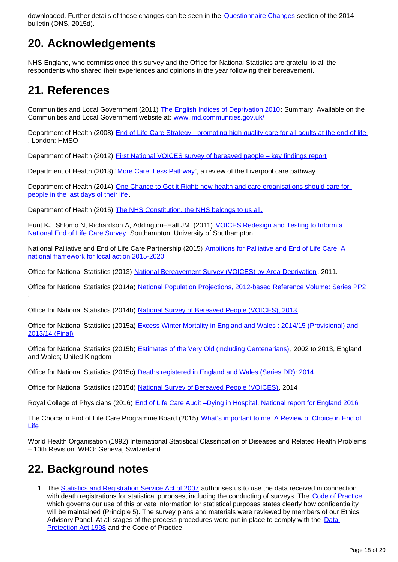downloaded. Further details of these changes can be seen in the [Questionnaire Changes](https://www.ons.gov.uk/peoplepopulationandcommunity/healthandsocialcare/healthcaresystem/bulletins/nationalsurveyofbereavedpeoplevoices/2015-07-09#questionnaire-changes) section of the 2014 bulletin (ONS, 2015d).

## <span id="page-17-0"></span>**20. Acknowledgements**

NHS England, who commissioned this survey and the Office for National Statistics are grateful to all the respondents who shared their experiences and opinions in the year following their bereavement.

## <span id="page-17-1"></span>**21. References**

Communities and Local Government (2011) [The English Indices of Deprivation 2010:](https://www.gov.uk/government/publications/english-indices-of-deprivation-2010) Summary, Available on the Communities and Local Government website at: [www.imd.communities.gov.uk/](http://www.imd.communities.gov.uk/)

Department of Health (2008) [End of Life Care Strategy - promoting high quality care for all adults at the end of life](https://www.gov.uk/government/publications/end-of-life-care-strategy-promoting-high-quality-care-for-adults-at-the-end-of-their-life) . London: HMSO

Department of Health (2012) [First National VOICES survey of bereaved people – key findings report](https://www.gov.uk/government/publications/first-national-voices-survey-of-bereaved-people-key-findings)

Department of Health (2013) '[More Care, Less Pathway](https://www.gov.uk/government/uploads/system/uploads/attachment_data/file/212450/Liverpool_Care_Pathway.pdf)', a review of the Liverpool care pathway

Department of Health (2014) One Chance to Get it Right: how health and care organisations should care for [people in the last days of their life](https://www.gov.uk/government/publications/liverpool-care-pathway-review-response-to-recommendations).

Department of Health (2015) [The NHS Constitution, the NHS belongs to us all.](https://www.gov.uk/government/uploads/system/uploads/attachment_data/file/480482/NHS_Constitution_WEB.pdf)

Hunt KJ, Shlomo N, Richardson A, Addington–Hall JM. (2011) [VOICES Redesign and Testing to Inform a](https://www.gov.uk/government/publications/voices-redesign-and-testing-to-inform-a-national-end-of-life-care-survey)  [National End of Life Care Survey](https://www.gov.uk/government/publications/voices-redesign-and-testing-to-inform-a-national-end-of-life-care-survey). Southampton: University of Southampton.

National Palliative and End of Life Care Partnership (2015) Ambitions for Palliative and End of Life Care: A [national framework for local action 2015-2020](http://endoflifecareambitions.org.uk/)

Office for National Statistics (2013) [National Bereavement Survey \(VOICES\) by Area Deprivation,](http://webarchive.nationalarchives.gov.uk/20160105160709/http://www.ons.gov.uk/ons/rel/subnational-health1/national-bereavement-survey--voices--by-area-deprivation/2011/index.html) 2011.

Office for National Statistics (2014a) [National Population Projections, 2012-based Reference Volume: Series PP2](https://www.ons.gov.uk/peoplepopulationandcommunity/populationandmigration/populationprojections/compendium/nationalpopulationprojections/2014-03-28) .

Office for National Statistics (2014b) [National Survey of Bereaved People \(VOICES\), 2013](https://www.ons.gov.uk/peoplepopulationandcommunity/healthandsocialcare/healthcaresystem/bulletins/nationalsurveyofbereavedpeoplevoices/2014-07-10)

Office for National Statistics (2015a) [Excess Winter Mortality in England and Wales : 2014/15 \(Provisional\) and](http://www.ons.gov.uk/peoplepopulationandcommunity/birthsdeathsandmarriages/deaths/bulletins/excesswintermortalityinenglandandwales/201415provisionaland201314finall)  [2013/14 \(Final\)](http://www.ons.gov.uk/peoplepopulationandcommunity/birthsdeathsandmarriages/deaths/bulletins/excesswintermortalityinenglandandwales/201415provisionaland201314finall)

Office for National Statistics (2015b) [Estimates of the Very Old \(including Centenarians\),](http://www.ons.gov.uk/peoplepopulationandcommunity/birthsdeathsandmarriages/ageing/bulletins/estimatesoftheveryoldincludingcentenarians/2015-09-30) 2002 to 2013, England and Wales; United Kingdom

Office for National Statistics (2015c) [Deaths registered in England and Wales \(Series DR\): 2014](http://%20http://www.ons.gov.uk/peoplepopulationandcommunity/birthsdeathsandmarriages/deaths/bulletins/deathsregisteredinenglandandwalesseriesdr/2015-11-09)

Office for National Statistics (2015d) [National Survey of Bereaved People \(VOICES\)](https://www.ons.gov.uk/peoplepopulationandcommunity/healthandsocialcare/healthcaresystem/bulletins/nationalsurveyofbereavedpeoplevoices/2015-07-09), 2014

Royal College of Physicians (2016) [End of Life Care Audit –Dying in Hospital, National report for England 2016](https://www.rcplondon.ac.uk/projects/outputs/end-life-care-audit-dying-hospital-national-report-england-2016)

The Choice in End of Life Care Programme Board (2015) What's important to me. A Review of Choice in End of [Life](https://www.gov.uk/government/uploads/system/uploads/attachment_data/file/407244/CHOICE_REVIEW_FINAL_for_web.pdf)

World Health Organisation (1992) International Statistical Classification of Diseases and Related Health Problems – 10th Revision. WHO: Geneva, Switzerland.

## <span id="page-17-2"></span>**22. Background notes**

1. The [Statistics and Registration Service Act of 2007](https://www.statisticsauthority.gov.uk/about-the-authority/uk-statistical-system/legislation/key-legislative-documents/) authorises us to use the data received in connection with death registrations for statistical purposes, including the conducting of surveys. The [Code of Practice](https://www.statisticsauthority.gov.uk/monitoring-and-assessment/code-of-practice/) which governs our use of this private information for statistical purposes states clearly how confidentiality will be maintained (Principle 5). The survey plans and materials were reviewed by members of our Ethics Advisory Panel. At all stages of the process procedures were put in place to comply with the Data [Protection Act 1998](http://www.legislation.gov.uk/ukpga/1998/29/contents) and the Code of Practice.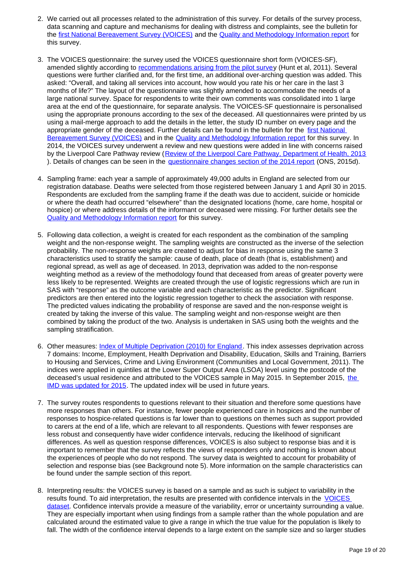- 2. We carried out all processes related to the administration of this survey. For details of the survey process, data scanning and capture and mechanisms for dealing with distress and complaints, see the bulletin for the [first National Bereavement Survey \(VOICES\)](http://webarchive.nationalarchives.gov.uk/20160105160709/http://www.ons.gov.uk/ons/rel/subnational-health1/national-bereavement-survey--voices--by-area-deprivation/2011/index.html) and the [Quality and Methodology Information report](https://www.ons.gov.uk/peoplepopulationandcommunity/healthandsocialcare/healthcaresystem/qmis/nationalbereavementsurveyvoicesqmi) for this survey.
- 3. The VOICES questionnaire: the survey used the VOICES questionnaire short form (VOICES-SF), amended slightly according to [recommendations arising from the pilot survey](https://www.gov.uk/government/publications/voices-redesign-and-testing-to-inform-a-national-end-of-life-care-survey) (Hunt et al, 2011). Several questions were further clarified and, for the first time, an additional over-arching question was added. This asked: "Overall, and taking all services into account, how would you rate his or her care in the last 3 months of life?" The layout of the questionnaire was slightly amended to accommodate the needs of a large national survey. Space for respondents to write their own comments was consolidated into 1 large area at the end of the questionnaire, for separate analysis. The VOICES-SF questionnaire is personalised using the appropriate pronouns according to the sex of the deceased. All questionnaires were printed by us using a mail-merge approach to add the details in the letter, the study ID number on every page and the appropriate gender of the deceased. Further details can be found in the bulletin for the first National [Bereavement Survey \(VOICES\)](http://webarchive.nationalarchives.gov.uk/20160105160709/http://www.ons.gov.uk/ons/rel/subnational-health1/national-bereavement-survey--voices--by-area-deprivation/2011/index.html) and in the [Quality and Methodology Information report](https://www.ons.gov.uk/peoplepopulationandcommunity/healthandsocialcare/healthcaresystem/qmis/nationalbereavementsurveyvoicesqmi) for this survey. In 2014, the VOICES survey underwent a review and new questions were added in line with concerns raised by the Liverpool Care Pathway review ([Review of the Liverpool Care Pathway, Department of Health, 2013](https://www.gov.uk/government/uploads/system/uploads/attachment_data/file/212450/Liverpool_Care_Pathway.pdf) ). Details of changes can be seen in the [questionnaire changes section of the 2014 report](https://www.ons.gov.uk/peoplepopulationandcommunity/healthandsocialcare/healthcaresystem/bulletins/nationalsurveyofbereavedpeoplevoices/2015-07-09) (ONS, 2015d).
- 4. Sampling frame: each year a sample of approximately 49,000 adults in England are selected from our registration database. Deaths were selected from those registered between January 1 and April 30 in 2015. Respondents are excluded from the sampling frame if the death was due to accident, suicide or homicide or where the death had occurred "elsewhere" than the designated locations (home, care home, hospital or hospice) or where address details of the informant or deceased were missing. For further details see the [Quality and Methodology Information report](https://www.ons.gov.uk/peoplepopulationandcommunity/healthandsocialcare/healthcaresystem/qmis/nationalbereavementsurveyvoicesqmi) for this survey.
- 5. Following data collection, a weight is created for each respondent as the combination of the sampling weight and the non-response weight. The sampling weights are constructed as the inverse of the selection probability. The non-response weights are created to adjust for bias in response using the same 3 characteristics used to stratify the sample: cause of death, place of death (that is, establishment) and regional spread, as well as age of deceased. In 2013, deprivation was added to the non-response weighting method as a review of the methodology found that deceased from areas of greater poverty were less likely to be represented. Weights are created through the use of logistic regressions which are run in SAS with "response" as the outcome variable and each characteristic as the predictor. Significant predictors are then entered into the logistic regression together to check the association with response. The predicted values indicating the probability of response are saved and the non-response weight is created by taking the inverse of this value. The sampling weight and non-response weight are then combined by taking the product of the two. Analysis is undertaken in SAS using both the weights and the sampling stratification.
- 6. Other measures: *[Index of Multiple Deprivation \(2010\) for England](https://www.gov.uk/government/statistics/english-indices-of-deprivation-2010)*. This index assesses deprivation across 7 domains: Income, Employment, Health Deprivation and Disability, Education, Skills and Training, Barriers to Housing and Services, Crime and Living Environment (Communities and Local Government, 2011). The indices were applied in quintiles at the Lower Super Output Area (LSOA) level using the postcode of the deceased's usual residence and attributed to [the](https://www.gov.uk/government/statistics/english-indices-of-deprivation-2015) VOICES sample in May 2015. In September 2015, the [IMD was updated for 2015](https://www.gov.uk/government/statistics/english-indices-of-deprivation-2015). The updated index will be used in future years.
- 7. The survey routes respondents to questions relevant to their situation and therefore some questions have more responses than others. For instance, fewer people experienced care in hospices and the number of responses to hospice-related questions is far lower than to questions on themes such as support provided to carers at the end of a life, which are relevant to all respondents. Questions with fewer responses are less robust and consequently have wider confidence intervals, reducing the likelihood of significant differences. As well as question response differences, VOICES is also subject to response bias and it is important to remember that the survey reflects the views of responders only and nothing is known about the experiences of people who do not respond. The survey data is weighted to account for probability of selection and response bias (see Background note 5). More information on the sample characteristics can be found under the sample section of this report.
- 8. Interpreting results: the VOICES survey is based on a sample and as such is subject to variability in the results found. To aid interpretation, the results are presented with confidence intervals in the [VOICES](https://www.ons.gov.uk/peoplepopulationandcommunity/healthandsocialcare/healthcaresystem/datasets/nationalsurveyofbereavedpeoplevoices)  [dataset.](https://www.ons.gov.uk/peoplepopulationandcommunity/healthandsocialcare/healthcaresystem/datasets/nationalsurveyofbereavedpeoplevoices) Confidence intervals provide a measure of the variability, error or uncertainty surrounding a value. They are especially important when using findings from a sample rather than the whole population and are calculated around the estimated value to give a range in which the true value for the population is likely to fall. The width of the confidence interval depends to a large extent on the sample size and so larger studies